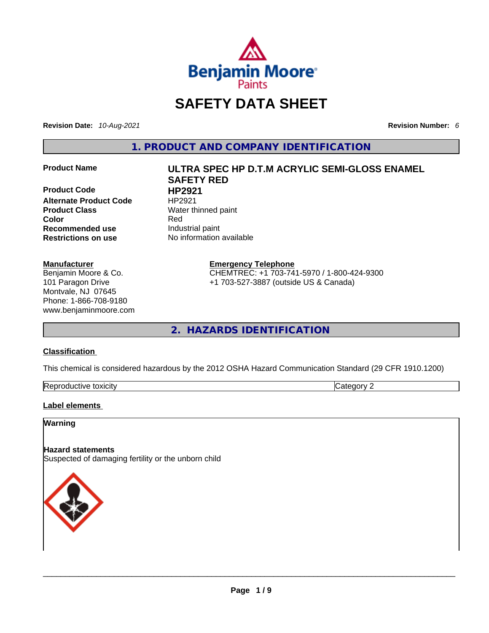

# **SAFETY DATA SHEET**

**Revision Date:** *10-Aug-2021* **Revision Number:** *6*

**1. PRODUCT AND COMPANY IDENTIFICATION** 

**Product Code HP2921 Alternate Product Code HP2921 Product Class Water thinned paint Recommended use Industrial paint**<br> **Restrictions on use No information** 

#### **Manufacturer**

Benjamin Moore & Co. 101 Paragon Drive Montvale, NJ 07645 Phone: 1-866-708-9180 www.benjaminmoore.com

# **Product Name ULTRA SPEC HP D.T.M ACRYLIC SEMI-GLOSS ENAMEL SAFETY RED Color** Red

**No information available** 

#### **Emergency Telephone**

CHEMTREC: +1 703-741-5970 / 1-800-424-9300 +1 703-527-3887 (outside US & Canada)

**2. HAZARDS IDENTIFICATION** 

#### **Classification**

This chemical is considered hazardous by the 2012 OSHA Hazard Communication Standard (29 CFR 1910.1200)

| Reproductive toxicity | $\sim$ | $\sim$ $\sim$ $\sim$ |
|-----------------------|--------|----------------------|

#### **Label elements**

#### **Warning**

#### **Hazard statements**

Suspected of damaging fertility or the unborn child

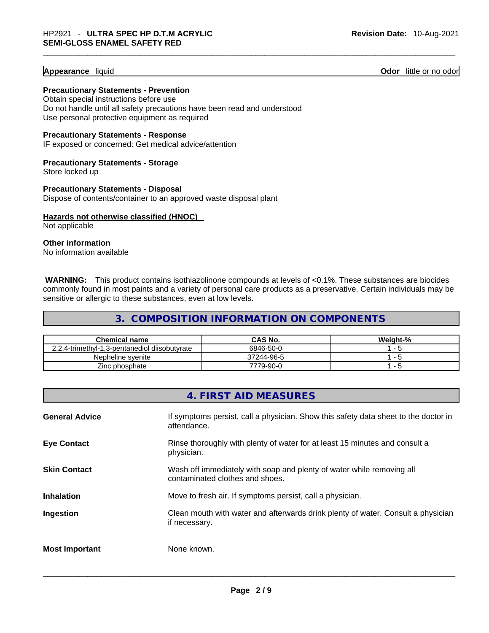#### **Appearance** liquid

**Odor** little or no odor

**Precautionary Statements - Prevention**

Obtain special instructions before use Do not handle until all safety precautions have been read and understood Use personal protective equipment as required

**Precautionary Statements - Response**

IF exposed or concerned: Get medical advice/attention

**Precautionary Statements - Storage** Store locked up

**Precautionary Statements - Disposal** Dispose of contents/container to an approved waste disposal plant

**Hazards not otherwise classified (HNOC)**  Not applicable

**Other information** 

No information available

**WARNING:** This product contains isothiazolinone compounds at levels of <0.1%. These substances are biocides commonly found in most paints and a variety of personal care products as a preservative. Certain individuals may be sensitive or allergic to these substances, even at low levels.

**3. COMPOSITION INFORMATION ON COMPONENTS** 

| <b>Chemical name</b>                          | CAS No.    | Weight-% |
|-----------------------------------------------|------------|----------|
| 2,2,4-trimethyl-1,3-pentanediol diisobutyrate | 6846-50-0  |          |
| Nepheline svenite                             | 37244-96-5 |          |
| Zinc phosphate                                | 7779-90-0  |          |

|                       | 4. FIRST AID MEASURES                                                                                    |
|-----------------------|----------------------------------------------------------------------------------------------------------|
| <b>General Advice</b> | If symptoms persist, call a physician. Show this safety data sheet to the doctor in<br>attendance.       |
| <b>Eye Contact</b>    | Rinse thoroughly with plenty of water for at least 15 minutes and consult a<br>physician.                |
| <b>Skin Contact</b>   | Wash off immediately with soap and plenty of water while removing all<br>contaminated clothes and shoes. |
| <b>Inhalation</b>     | Move to fresh air. If symptoms persist, call a physician.                                                |
| Ingestion             | Clean mouth with water and afterwards drink plenty of water. Consult a physician<br>if necessary.        |
| <b>Most Important</b> | None known.                                                                                              |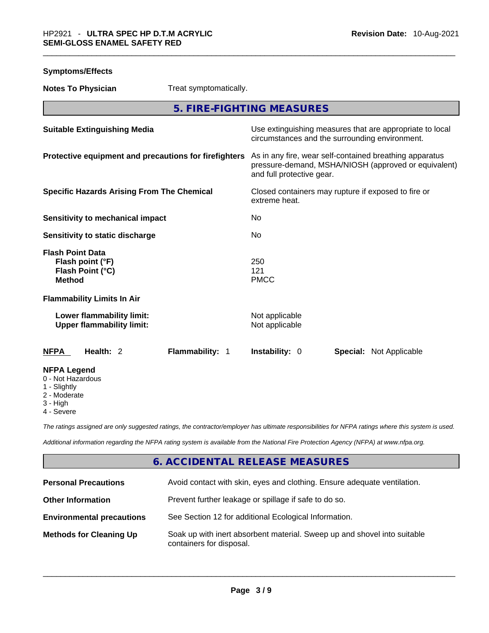| <b>Symptoms/Effects</b> |
|-------------------------|
|-------------------------|

**Notes To Physician** Treat symptomatically.

**5. FIRE-FIGHTING MEASURES** 

| <b>Suitable Extinguishing Media</b>                                                                                   | Use extinguishing measures that are appropriate to local<br>circumstances and the surrounding environment.                                   |
|-----------------------------------------------------------------------------------------------------------------------|----------------------------------------------------------------------------------------------------------------------------------------------|
| Protective equipment and precautions for firefighters                                                                 | As in any fire, wear self-contained breathing apparatus<br>pressure-demand, MSHA/NIOSH (approved or equivalent)<br>and full protective gear. |
| <b>Specific Hazards Arising From The Chemical</b>                                                                     | Closed containers may rupture if exposed to fire or<br>extreme heat.                                                                         |
| <b>Sensitivity to mechanical impact</b>                                                                               | No.                                                                                                                                          |
| Sensitivity to static discharge                                                                                       | No.                                                                                                                                          |
| <b>Flash Point Data</b><br>Flash point (°F)<br>Flash Point (°C)<br><b>Method</b><br><b>Flammability Limits In Air</b> | 250<br>121<br><b>PMCC</b>                                                                                                                    |
| Lower flammability limit:<br><b>Upper flammability limit:</b>                                                         | Not applicable<br>Not applicable                                                                                                             |
| Health: 2<br>Flammability: 1<br><b>NFPA</b>                                                                           | <b>Instability: 0</b><br><b>Special: Not Applicable</b>                                                                                      |
| <b>NFPA Legend</b><br>0 - Not Hazardous<br>1 - Slightly<br>2 - Moderate<br>3 - High<br>4 - Severe                     |                                                                                                                                              |

*The ratings assigned are only suggested ratings, the contractor/employer has ultimate responsibilities for NFPA ratings where this system is used.* 

*Additional information regarding the NFPA rating system is available from the National Fire Protection Agency (NFPA) at www.nfpa.org.* 

#### **6. ACCIDENTAL RELEASE MEASURES**

| <b>Personal Precautions</b>      | Avoid contact with skin, eyes and clothing. Ensure adequate ventilation.                             |
|----------------------------------|------------------------------------------------------------------------------------------------------|
| <b>Other Information</b>         | Prevent further leakage or spillage if safe to do so.                                                |
| <b>Environmental precautions</b> | See Section 12 for additional Ecological Information.                                                |
| <b>Methods for Cleaning Up</b>   | Soak up with inert absorbent material. Sweep up and shovel into suitable<br>containers for disposal. |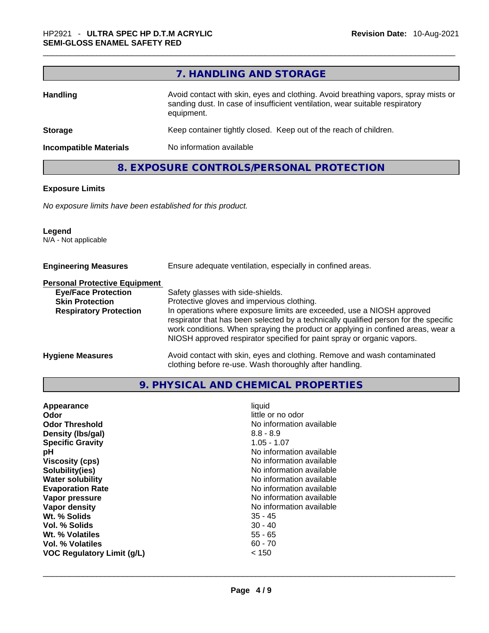|                               | 7. HANDLING AND STORAGE                                                                                                                                                          |
|-------------------------------|----------------------------------------------------------------------------------------------------------------------------------------------------------------------------------|
| <b>Handling</b>               | Avoid contact with skin, eyes and clothing. Avoid breathing vapors, spray mists or<br>sanding dust. In case of insufficient ventilation, wear suitable respiratory<br>equipment. |
| <b>Storage</b>                | Keep container tightly closed. Keep out of the reach of children.                                                                                                                |
| <b>Incompatible Materials</b> | No information available                                                                                                                                                         |

#### **8. EXPOSURE CONTROLS/PERSONAL PROTECTION**

#### **Exposure Limits**

*No exposure limits have been established for this product.* 

#### **Legend**

г

N/A - Not applicable

| <b>Engineering Measures</b>          | Ensure adequate ventilation, especially in confined areas.                                                                                                                                                                                                                                                                   |
|--------------------------------------|------------------------------------------------------------------------------------------------------------------------------------------------------------------------------------------------------------------------------------------------------------------------------------------------------------------------------|
| <b>Personal Protective Equipment</b> |                                                                                                                                                                                                                                                                                                                              |
| <b>Eye/Face Protection</b>           | Safety glasses with side-shields.                                                                                                                                                                                                                                                                                            |
| <b>Skin Protection</b>               | Protective gloves and impervious clothing.                                                                                                                                                                                                                                                                                   |
| <b>Respiratory Protection</b>        | In operations where exposure limits are exceeded, use a NIOSH approved<br>respirator that has been selected by a technically qualified person for the specific<br>work conditions. When spraying the product or applying in confined areas, wear a<br>NIOSH approved respirator specified for paint spray or organic vapors. |
| <b>Hygiene Measures</b>              | Avoid contact with skin, eyes and clothing. Remove and wash contaminated<br>clothing before re-use. Wash thoroughly after handling.                                                                                                                                                                                          |

#### **9. PHYSICAL AND CHEMICAL PROPERTIES**

| Appearance<br><b>Odor</b><br><b>Odor Threshold</b><br>Density (Ibs/gal)<br><b>Specific Gravity</b><br>рH<br><b>Viscosity (cps)</b><br>Solubility(ies)<br><b>Water solubility</b><br><b>Evaporation Rate</b><br>Vapor pressure<br>Vapor density<br>Wt. % Solids<br>Vol. % Solids | liquid<br>little or no odor<br>No information available<br>$8.8 - 8.9$<br>$1.05 - 1.07$<br>No information available<br>No information available<br>No information available<br>No information available<br>No information available<br>No information available<br>No information available<br>$35 - 45$<br>$30 - 40$ |
|---------------------------------------------------------------------------------------------------------------------------------------------------------------------------------------------------------------------------------------------------------------------------------|-----------------------------------------------------------------------------------------------------------------------------------------------------------------------------------------------------------------------------------------------------------------------------------------------------------------------|
|                                                                                                                                                                                                                                                                                 |                                                                                                                                                                                                                                                                                                                       |
| Wt. % Volatiles                                                                                                                                                                                                                                                                 | $55 - 65$                                                                                                                                                                                                                                                                                                             |
| Vol. % Volatiles                                                                                                                                                                                                                                                                | $60 - 70$                                                                                                                                                                                                                                                                                                             |
| <b>VOC Regulatory Limit (g/L)</b>                                                                                                                                                                                                                                               | < 150                                                                                                                                                                                                                                                                                                                 |
|                                                                                                                                                                                                                                                                                 |                                                                                                                                                                                                                                                                                                                       |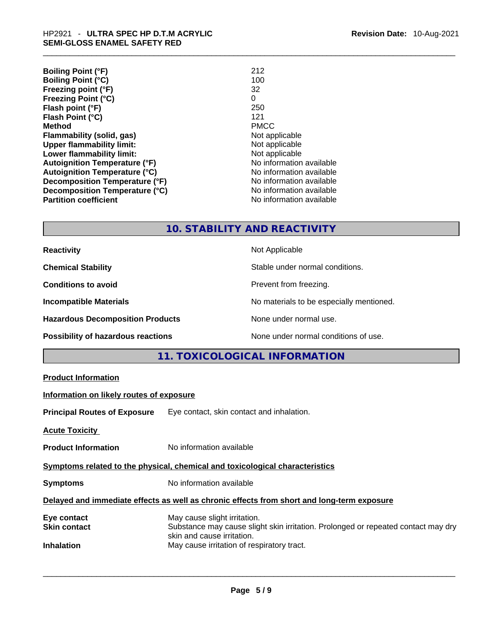| <b>Boiling Point (°F)</b>            | 212                      |
|--------------------------------------|--------------------------|
| <b>Boiling Point (°C)</b>            | 100                      |
| Freezing point (°F)                  | 32                       |
| <b>Freezing Point (°C)</b>           | 0                        |
| Flash point (°F)                     | 250                      |
| Flash Point (°C)                     | 121                      |
| <b>Method</b>                        | <b>PMCC</b>              |
| <b>Flammability (solid, gas)</b>     | Not applicable           |
| <b>Upper flammability limit:</b>     | Not applicable           |
| Lower flammability limit:            | Not applicable           |
| <b>Autoignition Temperature (°F)</b> | No information available |
| <b>Autoignition Temperature (°C)</b> | No information available |
| Decomposition Temperature (°F)       | No information available |
| Decomposition Temperature (°C)       | No information available |
| <b>Partition coefficient</b>         | No information available |

#### **10. STABILITY AND REACTIVITY**

| <b>Reactivity</b>                         | Not Applicable                           |
|-------------------------------------------|------------------------------------------|
| <b>Chemical Stability</b>                 | Stable under normal conditions.          |
| <b>Conditions to avoid</b>                | Prevent from freezing.                   |
| <b>Incompatible Materials</b>             | No materials to be especially mentioned. |
| <b>Hazardous Decomposition Products</b>   | None under normal use.                   |
| <b>Possibility of hazardous reactions</b> | None under normal conditions of use.     |

#### **11. TOXICOLOGICAL INFORMATION**

| <b>Product Information</b> |
|----------------------------|
|----------------------------|

#### **Information on likely routes of exposure**

**Principal Routes of Exposure** Eye contact, skin contact and inhalation.

**Acute Toxicity** 

**Product Information** No information available

**Symptoms related to the physical, chemical and toxicological characteristics** 

**Symptoms** No information available

#### **Delayed and immediate effects as well as chronic effects from short and long-term exposure**

| Eye contact         | May cause slight irritation.                                                                                    |
|---------------------|-----------------------------------------------------------------------------------------------------------------|
| <b>Skin contact</b> | Substance may cause slight skin irritation. Prolonged or repeated contact may dry<br>skin and cause irritation. |
| <b>Inhalation</b>   | May cause irritation of respiratory tract.                                                                      |
|                     |                                                                                                                 |
|                     |                                                                                                                 |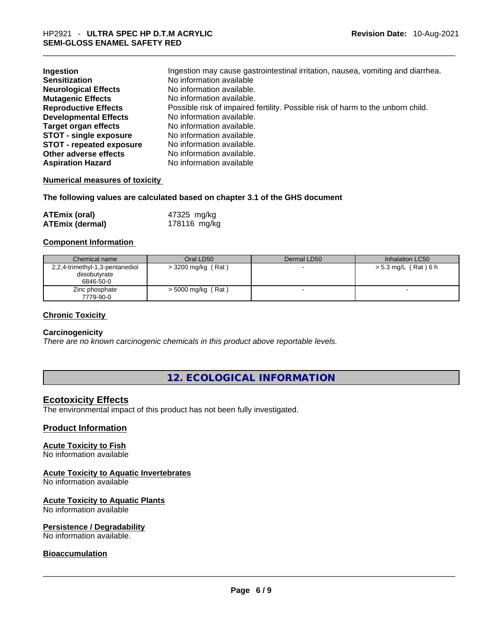| Ingestion                       | Ingestion may cause gastrointestinal irritation, nausea, vomiting and diarrhea. |
|---------------------------------|---------------------------------------------------------------------------------|
| <b>Sensitization</b>            | No information available                                                        |
| <b>Neurological Effects</b>     | No information available.                                                       |
| <b>Mutagenic Effects</b>        | No information available.                                                       |
| <b>Reproductive Effects</b>     | Possible risk of impaired fertility. Possible risk of harm to the unborn child. |
| <b>Developmental Effects</b>    | No information available.                                                       |
| <b>Target organ effects</b>     | No information available.                                                       |
| <b>STOT - single exposure</b>   | No information available.                                                       |
| <b>STOT - repeated exposure</b> | No information available.                                                       |
| Other adverse effects           | No information available.                                                       |
| <b>Aspiration Hazard</b>        | No information available                                                        |

#### **Numerical measures of toxicity**

**The following values are calculated based on chapter 3.1 of the GHS document**

| <b>ATEmix (oral)</b>   | 47325 mg/kg  |
|------------------------|--------------|
| <b>ATEmix (dermal)</b> | 178116 mg/kg |

#### **Component Information**

| Chemical name                   | Oral LD50            | Dermal LD50 | Inhalation LC50      |
|---------------------------------|----------------------|-------------|----------------------|
| 2,2,4-trimethyl-1,3-pentanediol | $>$ 3200 mg/kg (Rat) |             | > 5.3 mg/L (Rat) 6 h |
| diisobutyrate                   |                      |             |                      |
| 6846-50-0                       |                      |             |                      |
| Zinc phosphate                  | $>$ 5000 mg/kg (Rat) |             | $\sim$               |
| 7779-90-0                       |                      |             |                      |

#### **Chronic Toxicity**

#### **Carcinogenicity**

*There are no known carcinogenic chemicals in this product above reportable levels.* 

#### **12. ECOLOGICAL INFORMATION**

#### **Ecotoxicity Effects**

The environmental impact of this product has not been fully investigated.

#### **Product Information**

#### **Acute Toxicity to Fish**

No information available

#### **Acute Toxicity to Aquatic Invertebrates**

No information available

### **Acute Toxicity to Aquatic Plants**

No information available

# **Persistence / Degradability**

No information available. \_\_\_\_\_\_\_\_\_\_\_\_\_\_\_\_\_\_\_\_\_\_\_\_\_\_\_\_\_\_\_\_\_\_\_\_\_\_\_\_\_\_\_\_\_\_\_\_\_\_\_\_\_\_\_\_\_\_\_\_\_\_\_\_\_\_\_\_\_\_\_\_\_\_\_\_\_\_\_\_\_\_\_\_\_\_\_\_\_\_\_\_\_

#### **Bioaccumulation**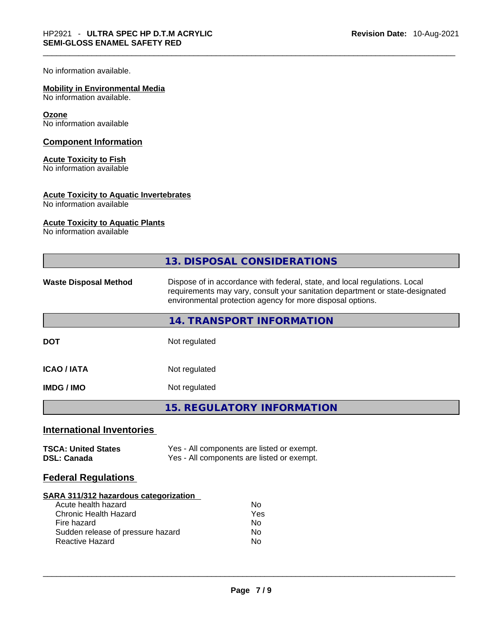No information available.

#### **Mobility in Environmental Media**

No information available.

#### **Ozone**

No information available

#### **Component Information**

#### **Acute Toxicity to Fish**

No information available

#### **Acute Toxicity to Aquatic Invertebrates**

No information available

#### **Acute Toxicity to Aquatic Plants**

No information available

|                                                                                                                                                                            | <b>13. DISPOSAL CONSIDERATIONS</b>                                                                                                                                                                                        |  |  |
|----------------------------------------------------------------------------------------------------------------------------------------------------------------------------|---------------------------------------------------------------------------------------------------------------------------------------------------------------------------------------------------------------------------|--|--|
| <b>Waste Disposal Method</b>                                                                                                                                               | Dispose of in accordance with federal, state, and local regulations. Local<br>requirements may vary, consult your sanitation department or state-designated<br>environmental protection agency for more disposal options. |  |  |
|                                                                                                                                                                            | 14. TRANSPORT INFORMATION                                                                                                                                                                                                 |  |  |
| <b>DOT</b>                                                                                                                                                                 | Not regulated                                                                                                                                                                                                             |  |  |
| <b>ICAO/IATA</b>                                                                                                                                                           | Not regulated                                                                                                                                                                                                             |  |  |
| <b>IMDG / IMO</b>                                                                                                                                                          | Not regulated                                                                                                                                                                                                             |  |  |
|                                                                                                                                                                            | <b>15. REGULATORY INFORMATION</b>                                                                                                                                                                                         |  |  |
| <b>International Inventories</b>                                                                                                                                           |                                                                                                                                                                                                                           |  |  |
| <b>TSCA: United States</b><br><b>DSL: Canada</b>                                                                                                                           | Yes - All components are listed or exempt.<br>Yes - All components are listed or exempt.                                                                                                                                  |  |  |
| <b>Federal Regulations</b>                                                                                                                                                 |                                                                                                                                                                                                                           |  |  |
| SARA 311/312 hazardous categorization<br>Acute health hazard<br><b>Chronic Health Hazard</b><br>Fire hazard<br>Sudden release of pressure hazard<br><b>Reactive Hazard</b> | <b>No</b><br>Yes<br>No<br>No<br>No                                                                                                                                                                                        |  |  |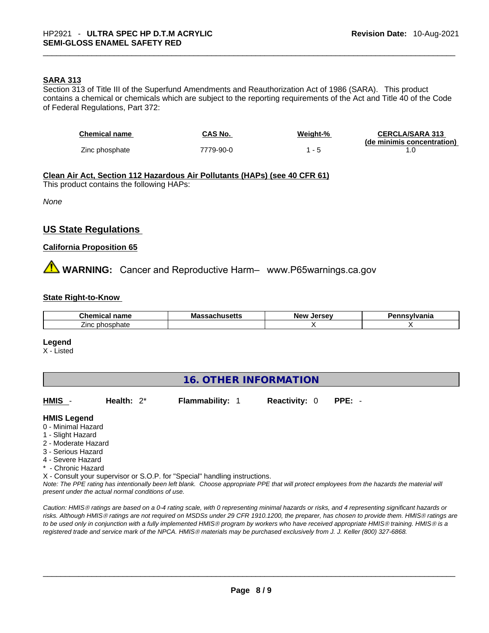#### **SARA 313**

Section 313 of Title III of the Superfund Amendments and Reauthorization Act of 1986 (SARA). This product contains a chemical or chemicals which are subject to the reporting requirements of the Act and Title 40 of the Code of Federal Regulations, Part 372:

| <b>Chemical name</b> | CAS No.   | Weight-% | <b>CERCLA/SARA 313</b>     |
|----------------------|-----------|----------|----------------------------|
|                      |           |          | (de minimis concentration) |
| Zinc phosphate       | 7779-90-0 |          |                            |

**Clean Air Act,Section 112 Hazardous Air Pollutants (HAPs) (see 40 CFR 61)** This product contains the following HAPs:

*None*

#### **US State Regulations**

#### **California Proposition 65**

**AN** WARNING: Cancer and Reproductive Harm– www.P65warnings.ca.gov

#### **State Right-to-Know**

| $\sim$ $\sim$ $\sim$ $\sim$ $\sim$<br>name<br>emical<br>⊶nem             | Mas<br>$\sim$ . consider $\sim$ | <b>Jersey</b><br><b>Nev</b> | ısvlvania |
|--------------------------------------------------------------------------|---------------------------------|-----------------------------|-----------|
| _<br>------<br>$\sim$ $\sim$ $\sim$<br>∠inc r<br>ospnate<br>рr<br>$\sim$ |                                 |                             |           |

#### **Legend**

X - Listed

#### **16. OTHER INFORMATION**

| <b>Reactivity: 0 PPE:</b> | HMIS - | Health: $2^*$ | <b>Flammability: 1</b> |  |  |  |
|---------------------------|--------|---------------|------------------------|--|--|--|
|---------------------------|--------|---------------|------------------------|--|--|--|

#### **HMIS Legend**

- 0 Minimal Hazard
- 1 Slight Hazard
- 2 Moderate Hazard
- 3 Serious Hazard
- 4 Severe Hazard
- \* Chronic Hazard
- X Consult your supervisor or S.O.P. for "Special" handling instructions.

Note: The PPE rating has intentionally been left blank. Choose appropriate PPE that will protect employees from the hazards the material will *present under the actual normal conditions of use.* 

*Caution: HMISÒ ratings are based on a 0-4 rating scale, with 0 representing minimal hazards or risks, and 4 representing significant hazards or risks. Although HMISÒ ratings are not required on MSDSs under 29 CFR 1910.1200, the preparer, has chosen to provide them. HMISÒ ratings are to be used only in conjunction with a fully implemented HMISÒ program by workers who have received appropriate HMISÒ training. HMISÒ is a registered trade and service mark of the NPCA. HMISÒ materials may be purchased exclusively from J. J. Keller (800) 327-6868.*